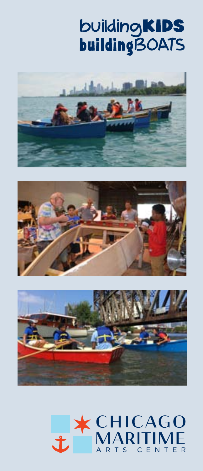# **building<b>KIDS**<br>buildingBOATS







# CHICAGO<br>MARITIME 土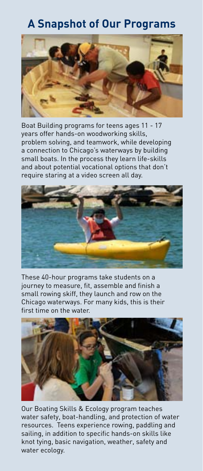#### **A Snapshot of Our Programs**



Boat Building programs for teens ages 11 - 17 years offer hands-on woodworking skills, problem solving, and teamwork, while developing a connection to Chicago's waterways by building small boats. In the process they learn life-skills and about potential vocational options that don't require staring at a video screen all day.



These 40-hour programs take students on a journey to measure, fit, assemble and finish a small rowing skiff, they launch and row on the Chicago waterways. For many kids, this is their first time on the water.



Our Boating Skills & Ecology program teaches water safety, boat-handling, and protection of water resources. Teens experience rowing, paddling and sailing, in addition to specific hands-on skills like knot tying, basic navigation, weather, safety and water ecology.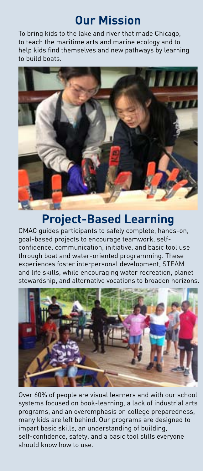# **Our Mission**

To bring kids to the lake and river that made Chicago, to teach the maritime arts and marine ecology and to help kids find themselves and new pathways by learning to build boats.



#### **Project-Based Learning**

CMAC guides participants to safely complete, hands-on, goal-based projects to encourage teamwork, selfconfidence, communication, initiative, and basic tool use through boat and water-oriented programming. These experiences foster interpersonal development, STEAM and life skills, while encouraging water recreation, planet stewardship, and alternative vocations to broaden horizons.



Over 60% of people are visual learners and with our school systems focused on book-learning, a lack of industrial arts programs, and an overemphasis on college preparedness, many kids are left behind. Our programs are designed to impart basic skills, an understanding of building, self-confidence, safety, and a basic tool slills everyone should know how to use.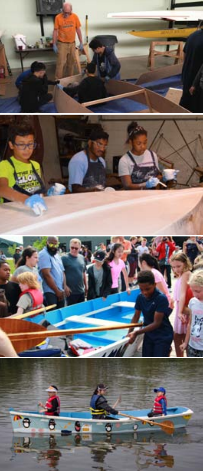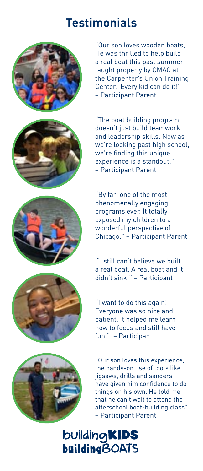## **Testimonials**



"Our son loves wooden boats, He was thrilled to help build a real boat this past summer taught properly by CMAC at the Carpenter's Union Training Center. Every kid can do it!" – Participant Parent

"The boat building program doesn't just build teamwork and leadership skills. Now as we're looking past high school, we're finding this unique experience is a standout." – Participant Parent

"By far, one of the most phenomenally engaging programs ever. It totally exposed my children to a wonderful perspective of Chicago." – Participant Parent



 "I still can't believe we built a real boat. A real boat and it didn't sink!" – Participant

"I want to do this again! Everyone was so nice and patient. It helped me learn how to focus and still have fun." – Participant

"Our son loves this experience, the hands-on use of tools like jigsaws, drills and sanders have given him confidence to do things on his own. He told me that he can't wait to attend the afterschool boat-building class" – Participant Parent